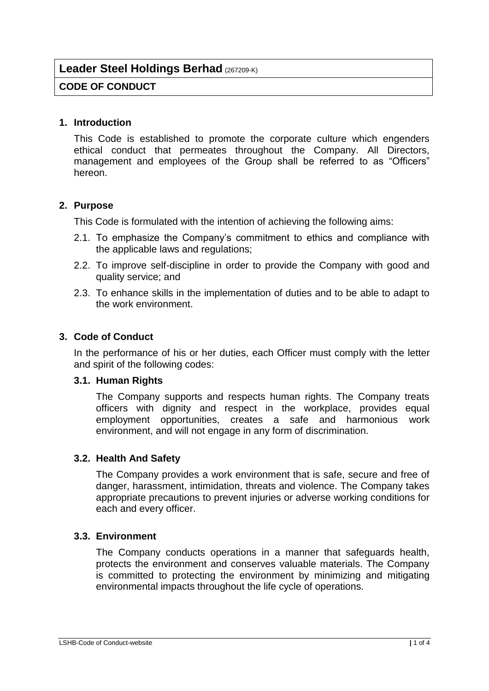# **Leader Steel Holdings Berhad** (267209-K)

## **CODE OF CONDUCT**

#### **1. Introduction**

This Code is established to promote the corporate culture which engenders ethical conduct that permeates throughout the Company. All Directors, management and employees of the Group shall be referred to as "Officers" hereon.

### **2. Purpose**

This Code is formulated with the intention of achieving the following aims:

- 2.1. To emphasize the Company's commitment to ethics and compliance with the applicable laws and regulations;
- 2.2. To improve self-discipline in order to provide the Company with good and quality service; and
- 2.3. To enhance skills in the implementation of duties and to be able to adapt to the work environment.

#### **3. Code of Conduct**

In the performance of his or her duties, each Officer must comply with the letter and spirit of the following codes:

#### **3.1. Human Rights**

The Company supports and respects human rights. The Company treats officers with dignity and respect in the workplace, provides equal employment opportunities, creates a safe and harmonious work environment, and will not engage in any form of discrimination.

#### **3.2. Health And Safety**

The Company provides a work environment that is safe, secure and free of danger, harassment, intimidation, threats and violence. The Company takes appropriate precautions to prevent injuries or adverse working conditions for each and every officer.

### **3.3. Environment**

The Company conducts operations in a manner that safeguards health, protects the environment and conserves valuable materials. The Company is committed to protecting the environment by minimizing and mitigating environmental impacts throughout the life cycle of operations.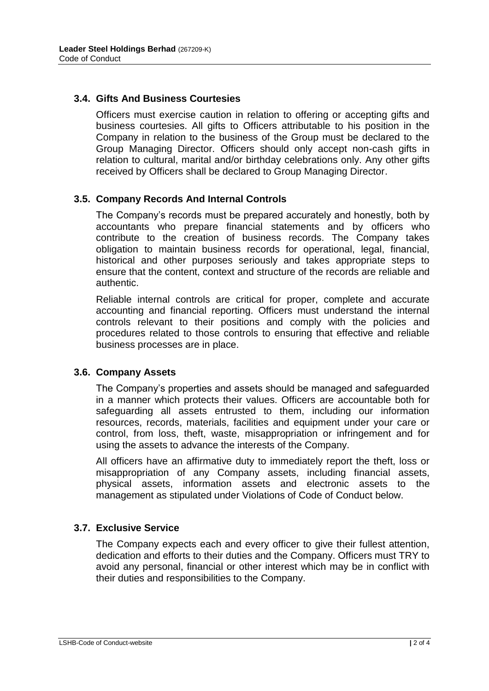### **3.4. Gifts And Business Courtesies**

Officers must exercise caution in relation to offering or accepting gifts and business courtesies. All gifts to Officers attributable to his position in the Company in relation to the business of the Group must be declared to the Group Managing Director. Officers should only accept non-cash gifts in relation to cultural, marital and/or birthday celebrations only. Any other gifts received by Officers shall be declared to Group Managing Director.

#### **3.5. Company Records And Internal Controls**

The Company's records must be prepared accurately and honestly, both by accountants who prepare financial statements and by officers who contribute to the creation of business records. The Company takes obligation to maintain business records for operational, legal, financial, historical and other purposes seriously and takes appropriate steps to ensure that the content, context and structure of the records are reliable and authentic.

Reliable internal controls are critical for proper, complete and accurate accounting and financial reporting. Officers must understand the internal controls relevant to their positions and comply with the policies and procedures related to those controls to ensuring that effective and reliable business processes are in place.

#### **3.6. Company Assets**

The Company's properties and assets should be managed and safeguarded in a manner which protects their values. Officers are accountable both for safeguarding all assets entrusted to them, including our information resources, records, materials, facilities and equipment under your care or control, from loss, theft, waste, misappropriation or infringement and for using the assets to advance the interests of the Company.

All officers have an affirmative duty to immediately report the theft, loss or misappropriation of any Company assets, including financial assets, physical assets, information assets and electronic assets to the management as stipulated under Violations of Code of Conduct below.

#### **3.7. Exclusive Service**

The Company expects each and every officer to give their fullest attention, dedication and efforts to their duties and the Company. Officers must TRY to avoid any personal, financial or other interest which may be in conflict with their duties and responsibilities to the Company.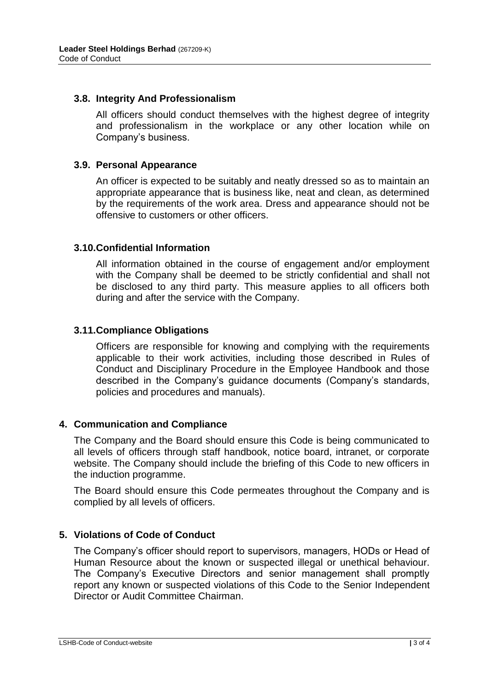### **3.8. Integrity And Professionalism**

All officers should conduct themselves with the highest degree of integrity and professionalism in the workplace or any other location while on Company's business.

### **3.9. Personal Appearance**

An officer is expected to be suitably and neatly dressed so as to maintain an appropriate appearance that is business like, neat and clean, as determined by the requirements of the work area. Dress and appearance should not be offensive to customers or other officers.

### **3.10.Confidential Information**

All information obtained in the course of engagement and/or employment with the Company shall be deemed to be strictly confidential and shall not be disclosed to any third party. This measure applies to all officers both during and after the service with the Company.

### **3.11.Compliance Obligations**

Officers are responsible for knowing and complying with the requirements applicable to their work activities, including those described in Rules of Conduct and Disciplinary Procedure in the Employee Handbook and those described in the Company's guidance documents (Company's standards, policies and procedures and manuals).

#### **4. Communication and Compliance**

The Company and the Board should ensure this Code is being communicated to all levels of officers through staff handbook, notice board, intranet, or corporate website. The Company should include the briefing of this Code to new officers in the induction programme.

The Board should ensure this Code permeates throughout the Company and is complied by all levels of officers.

## **5. Violations of Code of Conduct**

The Company's officer should report to supervisors, managers, HODs or Head of Human Resource about the known or suspected illegal or unethical behaviour. The Company's Executive Directors and senior management shall promptly report any known or suspected violations of this Code to the Senior Independent Director or Audit Committee Chairman.